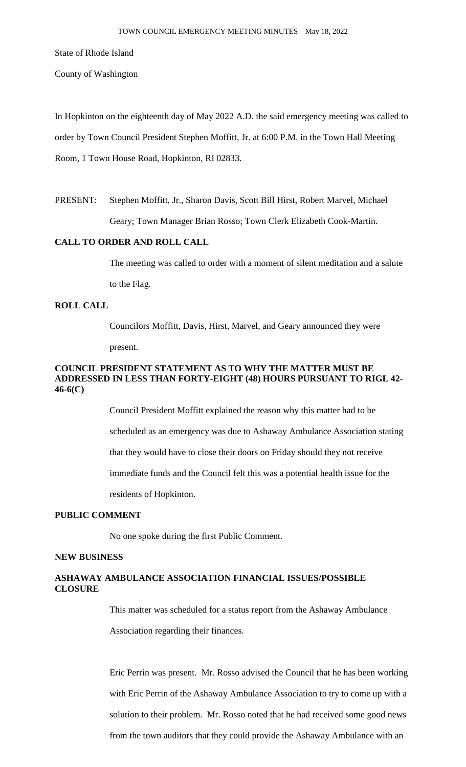State of Rhode Island

County of Washington

In Hopkinton on the eighteenth day of May 2022 A.D. the said emergency meeting was called to order by Town Council President Stephen Moffitt, Jr. at 6:00 P.M. in the Town Hall Meeting Room, 1 Town House Road, Hopkinton, RI 02833.

PRESENT: Stephen Moffitt, Jr., Sharon Davis, Scott Bill Hirst, Robert Marvel, Michael Geary; Town Manager Brian Rosso; Town Clerk Elizabeth Cook-Martin.

### **CALL TO ORDER AND ROLL CALL**

The meeting was called to order with a moment of silent meditation and a salute

to the Flag.

# **ROLL CALL**

Councilors Moffitt, Davis, Hirst, Marvel, and Geary announced they were present.

## **COUNCIL PRESIDENT STATEMENT AS TO WHY THE MATTER MUST BE ADDRESSED IN LESS THAN FORTY-EIGHT (48) HOURS PURSUANT TO RIGL 42- 46-6(C)**

Council President Moffitt explained the reason why this matter had to be scheduled as an emergency was due to Ashaway Ambulance Association stating that they would have to close their doors on Friday should they not receive immediate funds and the Council felt this was a potential health issue for the residents of Hopkinton.

## **PUBLIC COMMENT**

No one spoke during the first Public Comment.

### **NEW BUSINESS**

# **ASHAWAY AMBULANCE ASSOCIATION FINANCIAL ISSUES/POSSIBLE CLOSURE**

This matter was scheduled for a status report from the Ashaway Ambulance

Association regarding their finances.

Eric Perrin was present. Mr. Rosso advised the Council that he has been working with Eric Perrin of the Ashaway Ambulance Association to try to come up with a solution to their problem. Mr. Rosso noted that he had received some good news from the town auditors that they could provide the Ashaway Ambulance with an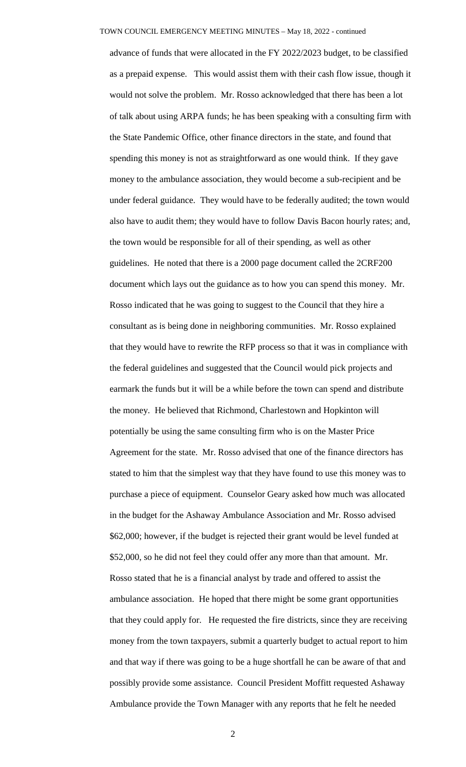advance of funds that were allocated in the FY 2022/2023 budget, to be classified as a prepaid expense. This would assist them with their cash flow issue, though it would not solve the problem. Mr. Rosso acknowledged that there has been a lot of talk about using ARPA funds; he has been speaking with a consulting firm with the State Pandemic Office, other finance directors in the state, and found that spending this money is not as straightforward as one would think. If they gave money to the ambulance association, they would become a sub-recipient and be under federal guidance. They would have to be federally audited; the town would also have to audit them; they would have to follow Davis Bacon hourly rates; and, the town would be responsible for all of their spending, as well as other guidelines. He noted that there is a 2000 page document called the 2CRF200 document which lays out the guidance as to how you can spend this money. Mr. Rosso indicated that he was going to suggest to the Council that they hire a consultant as is being done in neighboring communities. Mr. Rosso explained that they would have to rewrite the RFP process so that it was in compliance with the federal guidelines and suggested that the Council would pick projects and earmark the funds but it will be a while before the town can spend and distribute the money. He believed that Richmond, Charlestown and Hopkinton will potentially be using the same consulting firm who is on the Master Price Agreement for the state. Mr. Rosso advised that one of the finance directors has stated to him that the simplest way that they have found to use this money was to purchase a piece of equipment. Counselor Geary asked how much was allocated in the budget for the Ashaway Ambulance Association and Mr. Rosso advised \$62,000; however, if the budget is rejected their grant would be level funded at \$52,000, so he did not feel they could offer any more than that amount. Mr. Rosso stated that he is a financial analyst by trade and offered to assist the ambulance association. He hoped that there might be some grant opportunities that they could apply for. He requested the fire districts, since they are receiving money from the town taxpayers, submit a quarterly budget to actual report to him and that way if there was going to be a huge shortfall he can be aware of that and possibly provide some assistance. Council President Moffitt requested Ashaway Ambulance provide the Town Manager with any reports that he felt he needed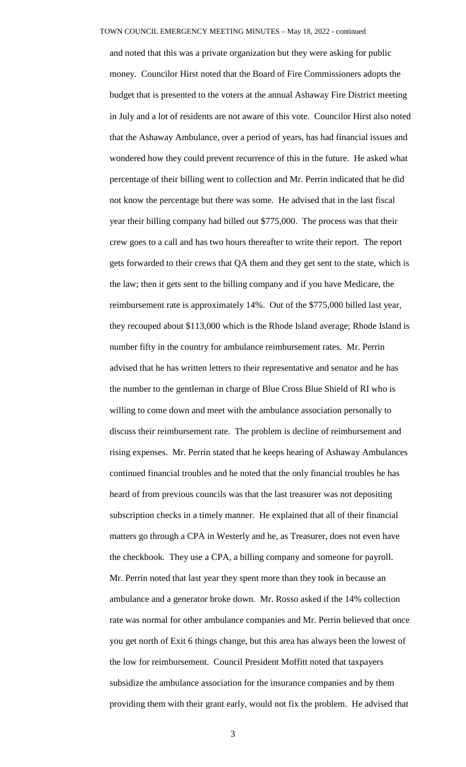and noted that this was a private organization but they were asking for public money. Councilor Hirst noted that the Board of Fire Commissioners adopts the budget that is presented to the voters at the annual Ashaway Fire District meeting in July and a lot of residents are not aware of this vote. Councilor Hirst also noted that the Ashaway Ambulance, over a period of years, has had financial issues and wondered how they could prevent recurrence of this in the future. He asked what percentage of their billing went to collection and Mr. Perrin indicated that he did not know the percentage but there was some. He advised that in the last fiscal year their billing company had billed out \$775,000. The process was that their crew goes to a call and has two hours thereafter to write their report. The report gets forwarded to their crews that QA them and they get sent to the state, which is the law; then it gets sent to the billing company and if you have Medicare, the reimbursement rate is approximately 14%. Out of the \$775,000 billed last year, they recouped about \$113,000 which is the Rhode Island average; Rhode Island is number fifty in the country for ambulance reimbursement rates. Mr. Perrin advised that he has written letters to their representative and senator and he has the number to the gentleman in charge of Blue Cross Blue Shield of RI who is willing to come down and meet with the ambulance association personally to discuss their reimbursement rate. The problem is decline of reimbursement and rising expenses. Mr. Perrin stated that he keeps hearing of Ashaway Ambulances continued financial troubles and he noted that the only financial troubles he has heard of from previous councils was that the last treasurer was not depositing subscription checks in a timely manner. He explained that all of their financial matters go through a CPA in Westerly and he, as Treasurer, does not even have the checkbook. They use a CPA, a billing company and someone for payroll. Mr. Perrin noted that last year they spent more than they took in because an ambulance and a generator broke down. Mr. Rosso asked if the 14% collection rate was normal for other ambulance companies and Mr. Perrin believed that once you get north of Exit 6 things change, but this area has always been the lowest of the low for reimbursement. Council President Moffitt noted that taxpayers subsidize the ambulance association for the insurance companies and by them providing them with their grant early, would not fix the problem. He advised that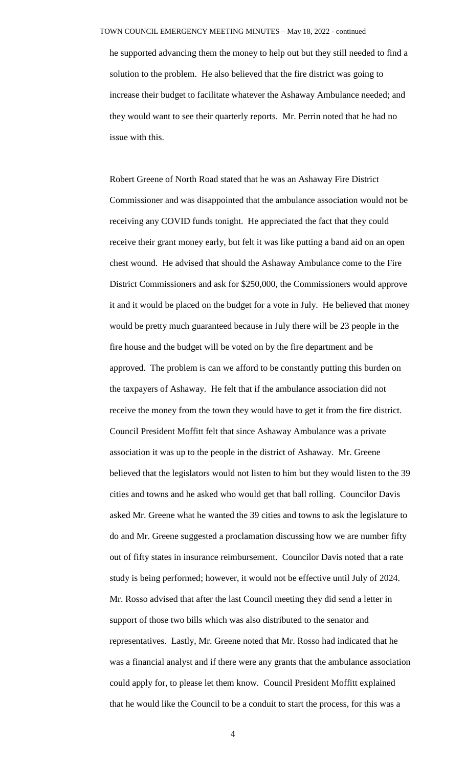he supported advancing them the money to help out but they still needed to find a solution to the problem. He also believed that the fire district was going to increase their budget to facilitate whatever the Ashaway Ambulance needed; and they would want to see their quarterly reports. Mr. Perrin noted that he had no issue with this.

Robert Greene of North Road stated that he was an Ashaway Fire District Commissioner and was disappointed that the ambulance association would not be receiving any COVID funds tonight. He appreciated the fact that they could receive their grant money early, but felt it was like putting a band aid on an open chest wound. He advised that should the Ashaway Ambulance come to the Fire District Commissioners and ask for \$250,000, the Commissioners would approve it and it would be placed on the budget for a vote in July. He believed that money would be pretty much guaranteed because in July there will be 23 people in the fire house and the budget will be voted on by the fire department and be approved. The problem is can we afford to be constantly putting this burden on the taxpayers of Ashaway. He felt that if the ambulance association did not receive the money from the town they would have to get it from the fire district. Council President Moffitt felt that since Ashaway Ambulance was a private association it was up to the people in the district of Ashaway. Mr. Greene believed that the legislators would not listen to him but they would listen to the 39 cities and towns and he asked who would get that ball rolling. Councilor Davis asked Mr. Greene what he wanted the 39 cities and towns to ask the legislature to do and Mr. Greene suggested a proclamation discussing how we are number fifty out of fifty states in insurance reimbursement. Councilor Davis noted that a rate study is being performed; however, it would not be effective until July of 2024. Mr. Rosso advised that after the last Council meeting they did send a letter in support of those two bills which was also distributed to the senator and representatives. Lastly, Mr. Greene noted that Mr. Rosso had indicated that he was a financial analyst and if there were any grants that the ambulance association could apply for, to please let them know. Council President Moffitt explained that he would like the Council to be a conduit to start the process, for this was a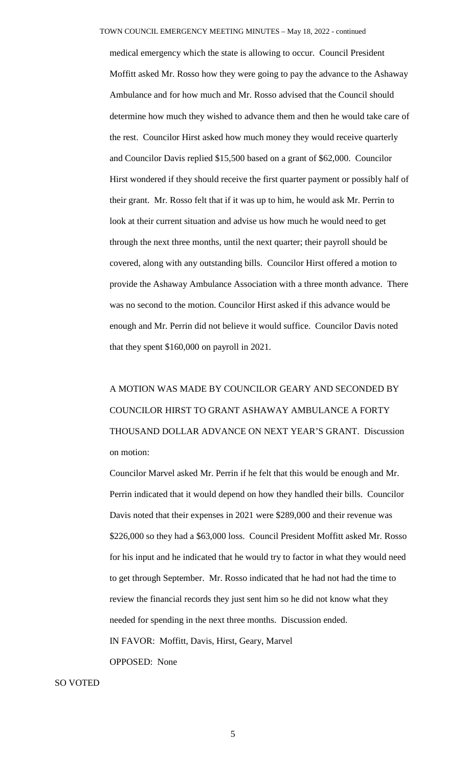medical emergency which the state is allowing to occur. Council President Moffitt asked Mr. Rosso how they were going to pay the advance to the Ashaway Ambulance and for how much and Mr. Rosso advised that the Council should determine how much they wished to advance them and then he would take care of the rest. Councilor Hirst asked how much money they would receive quarterly and Councilor Davis replied \$15,500 based on a grant of \$62,000. Councilor Hirst wondered if they should receive the first quarter payment or possibly half of their grant. Mr. Rosso felt that if it was up to him, he would ask Mr. Perrin to look at their current situation and advise us how much he would need to get through the next three months, until the next quarter; their payroll should be covered, along with any outstanding bills. Councilor Hirst offered a motion to provide the Ashaway Ambulance Association with a three month advance. There was no second to the motion. Councilor Hirst asked if this advance would be enough and Mr. Perrin did not believe it would suffice. Councilor Davis noted that they spent \$160,000 on payroll in 2021.

A MOTION WAS MADE BY COUNCILOR GEARY AND SECONDED BY COUNCILOR HIRST TO GRANT ASHAWAY AMBULANCE A FORTY THOUSAND DOLLAR ADVANCE ON NEXT YEAR'S GRANT. Discussion on motion:

Councilor Marvel asked Mr. Perrin if he felt that this would be enough and Mr. Perrin indicated that it would depend on how they handled their bills. Councilor Davis noted that their expenses in 2021 were \$289,000 and their revenue was \$226,000 so they had a \$63,000 loss. Council President Moffitt asked Mr. Rosso for his input and he indicated that he would try to factor in what they would need to get through September. Mr. Rosso indicated that he had not had the time to review the financial records they just sent him so he did not know what they needed for spending in the next three months. Discussion ended. IN FAVOR: Moffitt, Davis, Hirst, Geary, Marvel OPPOSED: None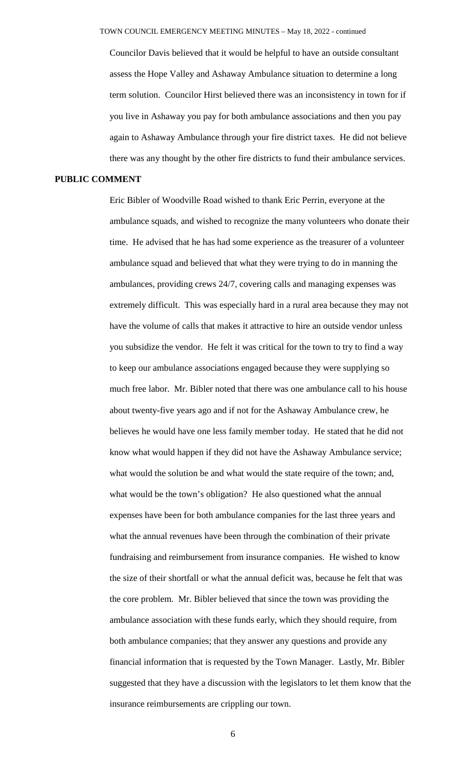Councilor Davis believed that it would be helpful to have an outside consultant assess the Hope Valley and Ashaway Ambulance situation to determine a long term solution. Councilor Hirst believed there was an inconsistency in town for if you live in Ashaway you pay for both ambulance associations and then you pay again to Ashaway Ambulance through your fire district taxes. He did not believe there was any thought by the other fire districts to fund their ambulance services.

### **PUBLIC COMMENT**

Eric Bibler of Woodville Road wished to thank Eric Perrin, everyone at the ambulance squads, and wished to recognize the many volunteers who donate their time. He advised that he has had some experience as the treasurer of a volunteer ambulance squad and believed that what they were trying to do in manning the ambulances, providing crews 24/7, covering calls and managing expenses was extremely difficult. This was especially hard in a rural area because they may not have the volume of calls that makes it attractive to hire an outside vendor unless you subsidize the vendor. He felt it was critical for the town to try to find a way to keep our ambulance associations engaged because they were supplying so much free labor. Mr. Bibler noted that there was one ambulance call to his house about twenty-five years ago and if not for the Ashaway Ambulance crew, he believes he would have one less family member today. He stated that he did not know what would happen if they did not have the Ashaway Ambulance service; what would the solution be and what would the state require of the town; and, what would be the town's obligation? He also questioned what the annual expenses have been for both ambulance companies for the last three years and what the annual revenues have been through the combination of their private fundraising and reimbursement from insurance companies. He wished to know the size of their shortfall or what the annual deficit was, because he felt that was the core problem. Mr. Bibler believed that since the town was providing the ambulance association with these funds early, which they should require, from both ambulance companies; that they answer any questions and provide any financial information that is requested by the Town Manager. Lastly, Mr. Bibler suggested that they have a discussion with the legislators to let them know that the insurance reimbursements are crippling our town.